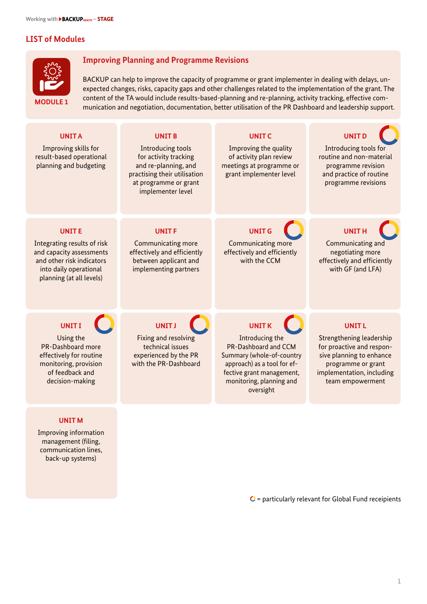# **LIST of Modules**



#### **Improving Planning and Programme Revisions**

BACKUP can help to improve the capacity of programme or grant implementer in dealing with delays, unexpected changes, risks, capacity gaps and other challenges related to the implementation of the grant. The content of the TA would include results-based-planning and re-planning, activity tracking, effective communication and negotiation, documentation, better utilisation of the PR Dashboard and leadership support. **MODULE 1**



 $\mathbf{O}$  = particularly relevant for Global Fund receipients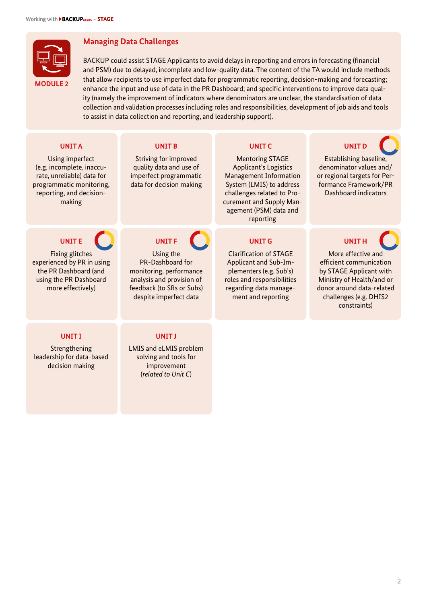

# **Managing Data Challenges**

BACKUP could assist STAGE Applicants to avoid delays in reporting and errors in forecasting (financial and PSM) due to delayed, incomplete and low-quality data. The content of the TA would include methods that allow recipients to use imperfect data for programmatic reporting, decision-making and forecasting; enhance the input and use of data in the PR Dashboard; and specific interventions to improve data quality (namely the improvement of indicators where denominators are unclear, the standardisation of data collection and validation processes including roles and responsibilities, development of job aids and tools to assist in data collection and reporting, and leadership support).

| <b>UNITA</b><br>Using imperfect<br>(e.g. incomplete, inaccu-<br>rate, unreliable) data for<br>programmatic monitoring,<br>reporting, and decision-<br>making | <b>UNIT B</b><br><b>Striving for improved</b><br>quality data and use of<br>imperfect programmatic<br>data for decision making                               | <b>UNITC</b><br><b>Mentoring STAGE</b><br>Applicant's Logistics<br><b>Management Information</b><br>System (LMIS) to address<br>challenges related to Pro-<br>curement and Supply Man-<br>agement (PSM) data and<br>reporting | <b>UNIT D</b><br>Establishing baseline,<br>denominator values and/<br>or regional targets for Per-<br>formance Framework/PR<br>Dashboard indicators                                          |
|--------------------------------------------------------------------------------------------------------------------------------------------------------------|--------------------------------------------------------------------------------------------------------------------------------------------------------------|-------------------------------------------------------------------------------------------------------------------------------------------------------------------------------------------------------------------------------|----------------------------------------------------------------------------------------------------------------------------------------------------------------------------------------------|
| <b>UNITE</b><br><b>Fixing glitches</b><br>experienced by PR in using<br>the PR Dashboard (and<br>using the PR Dashboard<br>more effectively)                 | <b>UNITF</b><br>Using the<br>PR-Dashboard for<br>monitoring, performance<br>analysis and provision of<br>feedback (to SRs or Subs)<br>despite imperfect data | <b>UNIT G</b><br><b>Clarification of STAGE</b><br>Applicant and Sub-Im-<br>plementers (e.g. Sub's)<br>roles and responsibilities<br>regarding data manage-<br>ment and reporting                                              | <b>UNITH</b><br>More effective and<br>efficient communication<br>by STAGE Applicant with<br>Ministry of Health/and or<br>donor around data-related<br>challenges (e.g. DHIS2<br>constraints) |
| <b>UNITI</b><br>Strengthening<br>leadership for data-based<br>decision making                                                                                | <b>UNITJ</b><br>LMIS and eLMIS problem<br>solving and tools for<br>improvement<br>(related to Unit C)                                                        |                                                                                                                                                                                                                               |                                                                                                                                                                                              |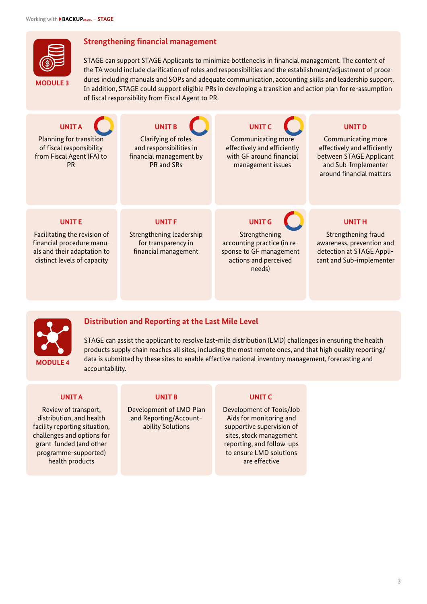

## **Strengthening financial management**

STAGE can support STAGE Applicants to minimize bottlenecks in financial management. The content of the TA would include clarification of roles and responsibilities and the establishment/adjustment of procedures including manuals and SOPs and adequate communication, accounting skills and leadership support. In addition, STAGE could support eligible PRs in developing a transition and action plan for re-assumption of fiscal responsibility from Fiscal Agent to PR.

| <b>UNITA</b><br>Planning for transition<br>of fiscal responsibility<br>from Fiscal Agent (FA) to<br><b>PR</b>                           | <b>UNIT B</b><br>Clarifying of roles<br>and responsibilities in<br>financial management by<br>PR and SRs | <b>UNITC</b><br><b>Communicating more</b><br>effectively and efficiently<br>with GF around financial<br>management issues   | <b>UNIT D</b><br><b>Communicating more</b><br>effectively and efficiently<br>between STAGE Applicant<br>and Sub-Implementer<br>around financial matters |
|-----------------------------------------------------------------------------------------------------------------------------------------|----------------------------------------------------------------------------------------------------------|-----------------------------------------------------------------------------------------------------------------------------|---------------------------------------------------------------------------------------------------------------------------------------------------------|
| <b>UNITE</b><br>Facilitating the revision of<br>financial procedure manu-<br>als and their adaptation to<br>distinct levels of capacity | UNIT <sub>F</sub><br>Strengthening leadership<br>for transparency in<br>financial management             | <b>UNIT G</b><br>Strengthening<br>accounting practice (in re-<br>sponse to GF management<br>actions and perceived<br>needs) | <b>UNITH</b><br>Strengthening fraud<br>awareness, prevention and<br>detection at STAGE Appli-<br>cant and Sub-implementer                               |



# **Distribution and Reporting at the Last Mile Level**

STAGE can assist the applicant to resolve last-mile distribution (LMD) challenges in ensuring the health products supply chain reaches all sites, including the most remote ones, and that high quality reporting/ data is submitted by these sites to enable effective national inventory management, forecasting and accountability.

#### **UNIT A**

Review of transport, distribution, and health facility reporting situation, challenges and options for grant-funded (and other programme-supported) health products

#### **UNIT B**

Development of LMD Plan and Reporting/Accountability Solutions

#### **UNIT C**

Development of Tools/Job Aids for monitoring and supportive supervision of sites, stock management reporting, and follow-ups to ensure LMD solutions are effective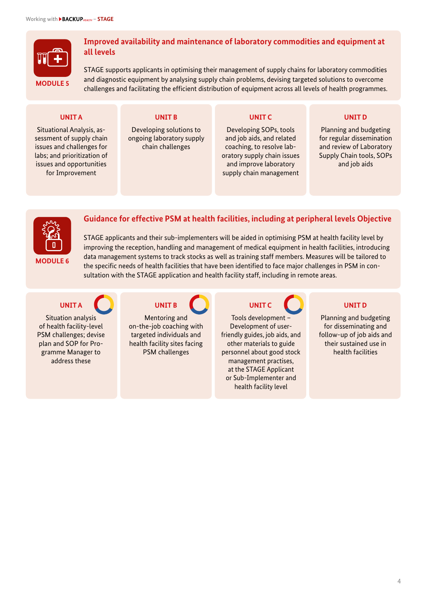

### **Improved availability and maintenance of laboratory commodities and equipment at all levels**

STAGE supports applicants in optimising their management of supply chains for laboratory commodities and diagnostic equipment by analysing supply chain problems, devising targeted solutions to overcome challenges and facilitating the efficient distribution of equipment across all levels of health programmes.

#### **UNIT A**

Situational Analysis, assessment of supply chain issues and challenges for labs; and prioritization of issues and opportunities for Improvement

## **UNIT B**

Developing solutions to ongoing laboratory supply chain challenges

#### **UNIT C**

Developing SOPs, tools and job aids, and related coaching, to resolve laboratory supply chain issues and improve laboratory supply chain management

## **UNIT D**

Planning and budgeting for regular dissemination and review of Laboratory Supply Chain tools, SOPs and job aids



**Guidance for effective PSM at health facilities, including at peripheral levels Objective**

STAGE applicants and their sub-implementers will be aided in optimising PSM at health facility level by improving the reception, handling and management of medical equipment in health facilities, introducing data management systems to track stocks as well as training staff members. Measures will be tailored to the specific needs of health facilities that have been identified to face major challenges in PSM in consultation with the STAGE application and health facility staff, including in remote areas.

# **UNIT A**

Situation analysis of health facility-level PSM challenges; devise plan and SOP for Programme Manager to address these



Mentoring and on-the-job coaching with targeted individuals and health facility sites facing PSM challenges

**UNIT C**

Tools development – Development of userfriendly guides, job aids, and other materials to guide personnel about good stock management practises, at the STAGE Applicant or Sub-Implementer and health facility level



Planning and budgeting for disseminating and follow-up of job aids and their sustained use in health facilities